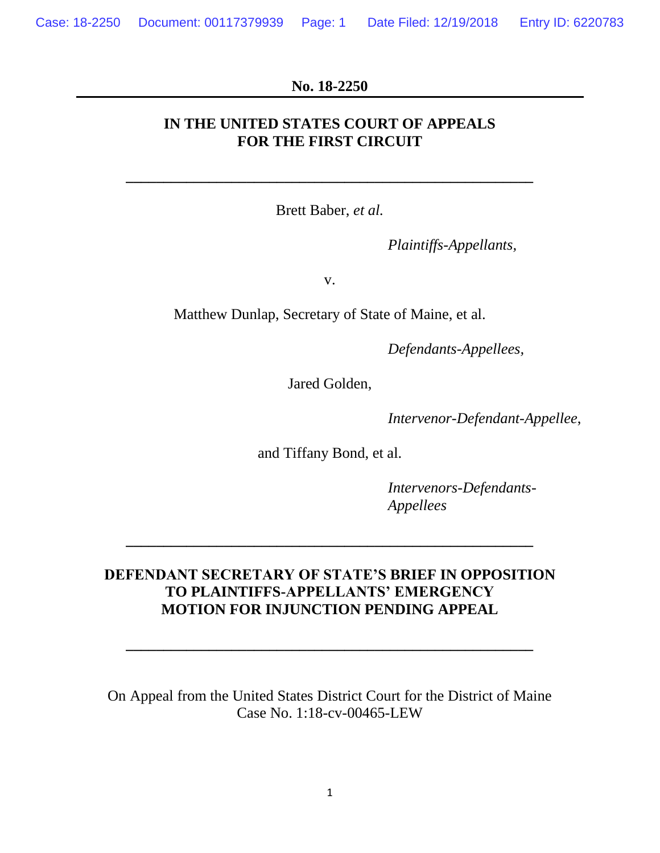#### **No. 18-2250**

## **IN THE UNITED STATES COURT OF APPEALS FOR THE FIRST CIRCUIT**

Brett Baber, *et al.*

**\_\_\_\_\_\_\_\_\_\_\_\_\_\_\_\_\_\_\_\_\_\_\_\_\_\_\_\_\_\_\_\_\_\_\_\_\_\_\_\_\_\_\_\_\_\_\_\_\_\_\_\_\_\_**

*Plaintiffs-Appellants,*

v.

Matthew Dunlap, Secretary of State of Maine, et al.

*Defendants-Appellees,*

Jared Golden,

*Intervenor-Defendant-Appellee*,

and Tiffany Bond, et al.

*Intervenors-Defendants-Appellees*

# **DEFENDANT SECRETARY OF STATE'S BRIEF IN OPPOSITION TO PLAINTIFFS-APPELLANTS' EMERGENCY MOTION FOR INJUNCTION PENDING APPEAL**

**\_\_\_\_\_\_\_\_\_\_\_\_\_\_\_\_\_\_\_\_\_\_\_\_\_\_\_\_\_\_\_\_\_\_\_\_\_\_\_\_\_\_\_\_\_\_\_\_\_\_\_\_\_\_**

**\_\_\_\_\_\_\_\_\_\_\_\_\_\_\_\_\_\_\_\_\_\_\_\_\_\_\_\_\_\_\_\_\_\_\_\_\_\_\_\_\_\_\_\_\_\_\_\_\_\_\_\_\_\_**

On Appeal from the United States District Court for the District of Maine Case No. 1:18-cv-00465-LEW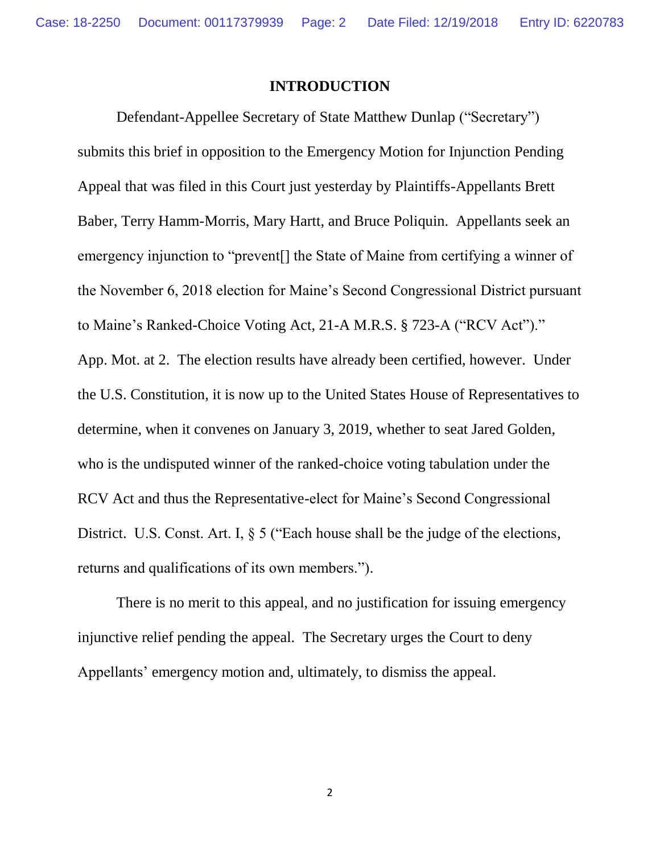#### **INTRODUCTION**

Defendant-Appellee Secretary of State Matthew Dunlap ("Secretary") submits this brief in opposition to the Emergency Motion for Injunction Pending Appeal that was filed in this Court just yesterday by Plaintiffs-Appellants Brett Baber, Terry Hamm-Morris, Mary Hartt, and Bruce Poliquin. Appellants seek an emergency injunction to "prevent[] the State of Maine from certifying a winner of the November 6, 2018 election for Maine's Second Congressional District pursuant to Maine's Ranked-Choice Voting Act, 21-A M.R.S. § 723-A ("RCV Act")." App. Mot. at 2. The election results have already been certified, however. Under the U.S. Constitution, it is now up to the United States House of Representatives to determine, when it convenes on January 3, 2019, whether to seat Jared Golden, who is the undisputed winner of the ranked-choice voting tabulation under the RCV Act and thus the Representative-elect for Maine's Second Congressional District. U.S. Const. Art. I,  $\S 5$  ("Each house shall be the judge of the elections, returns and qualifications of its own members.").

There is no merit to this appeal, and no justification for issuing emergency injunctive relief pending the appeal. The Secretary urges the Court to deny Appellants' emergency motion and, ultimately, to dismiss the appeal.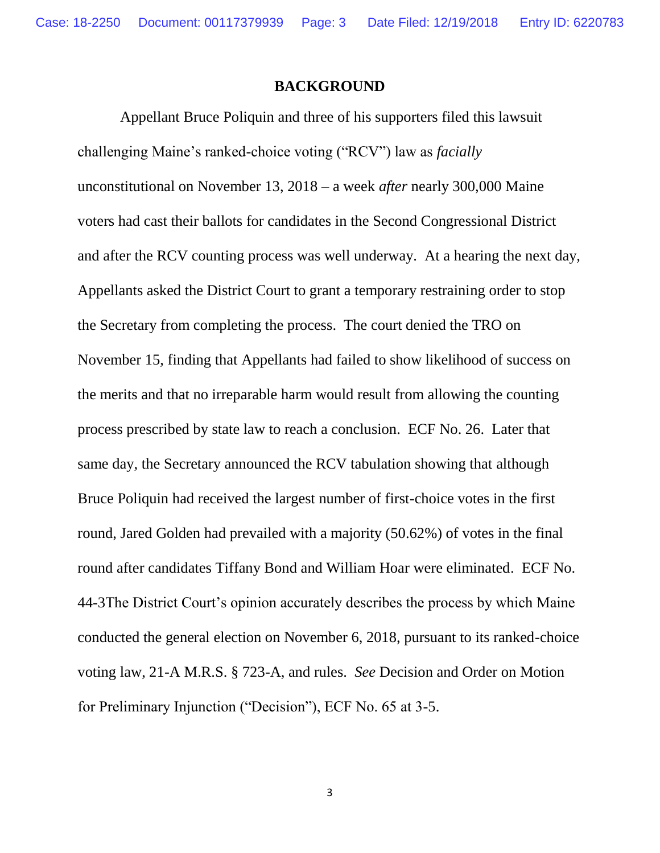Case: 18-2250 Document: 00117379939 Page: 3 Date Filed: 12/19/2018 Entry ID: 6220783

#### **BACKGROUND**

Appellant Bruce Poliquin and three of his supporters filed this lawsuit challenging Maine's ranked-choice voting ("RCV") law as *facially* unconstitutional on November 13, 2018 – a week *after* nearly 300,000 Maine voters had cast their ballots for candidates in the Second Congressional District and after the RCV counting process was well underway. At a hearing the next day, Appellants asked the District Court to grant a temporary restraining order to stop the Secretary from completing the process. The court denied the TRO on November 15, finding that Appellants had failed to show likelihood of success on the merits and that no irreparable harm would result from allowing the counting process prescribed by state law to reach a conclusion. ECF No. 26. Later that same day, the Secretary announced the RCV tabulation showing that although Bruce Poliquin had received the largest number of first-choice votes in the first round, Jared Golden had prevailed with a majority (50.62%) of votes in the final round after candidates Tiffany Bond and William Hoar were eliminated. ECF No. 44-3The District Court's opinion accurately describes the process by which Maine conducted the general election on November 6, 2018, pursuant to its ranked-choice voting law, 21-A M.R.S. § 723-A, and rules. *See* Decision and Order on Motion for Preliminary Injunction ("Decision"), ECF No. 65 at 3-5.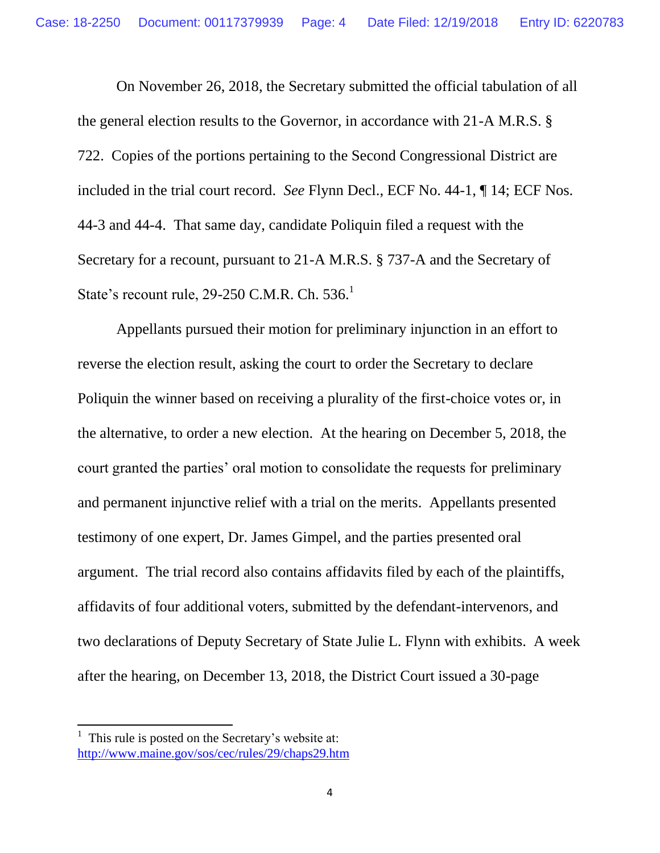On November 26, 2018, the Secretary submitted the official tabulation of all the general election results to the Governor, in accordance with 21-A M.R.S. § 722. Copies of the portions pertaining to the Second Congressional District are included in the trial court record. *See* Flynn Decl., ECF No. 44-1, ¶ 14; ECF Nos. 44-3 and 44-4. That same day, candidate Poliquin filed a request with the Secretary for a recount, pursuant to 21-A M.R.S. § 737-A and the Secretary of State's recount rule, 29-250 C.M.R. Ch. 536.<sup>1</sup>

Appellants pursued their motion for preliminary injunction in an effort to reverse the election result, asking the court to order the Secretary to declare Poliquin the winner based on receiving a plurality of the first-choice votes or, in the alternative, to order a new election. At the hearing on December 5, 2018, the court granted the parties' oral motion to consolidate the requests for preliminary and permanent injunctive relief with a trial on the merits. Appellants presented testimony of one expert, Dr. James Gimpel, and the parties presented oral argument. The trial record also contains affidavits filed by each of the plaintiffs, affidavits of four additional voters, submitted by the defendant-intervenors, and two declarations of Deputy Secretary of State Julie L. Flynn with exhibits. A week after the hearing, on December 13, 2018, the District Court issued a 30-page

 $<sup>1</sup>$  This rule is posted on the Secretary's website at:</sup> <http://www.maine.gov/sos/cec/rules/29/chaps29.htm>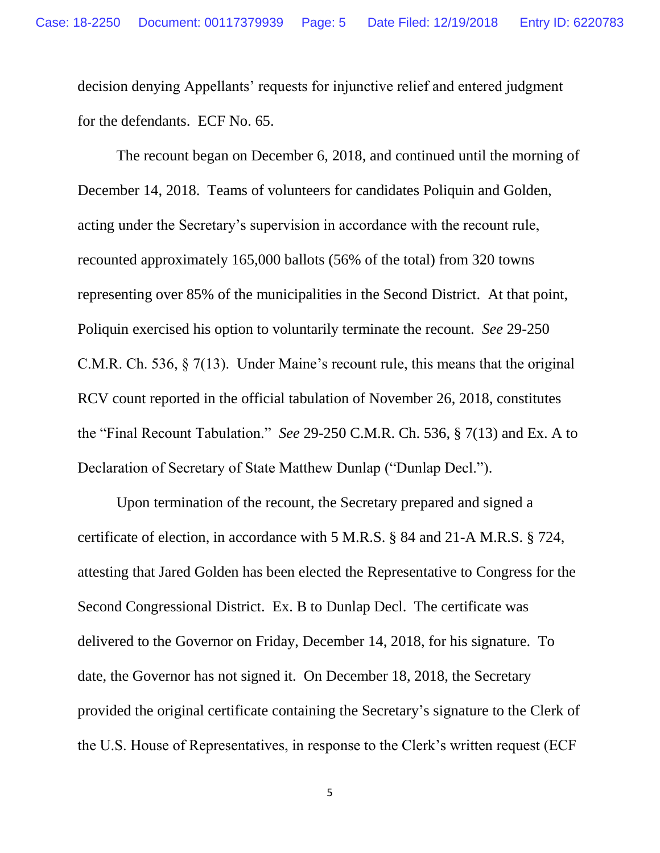decision denying Appellants' requests for injunctive relief and entered judgment for the defendants. ECF No. 65.

The recount began on December 6, 2018, and continued until the morning of December 14, 2018. Teams of volunteers for candidates Poliquin and Golden, acting under the Secretary's supervision in accordance with the recount rule, recounted approximately 165,000 ballots (56% of the total) from 320 towns representing over 85% of the municipalities in the Second District. At that point, Poliquin exercised his option to voluntarily terminate the recount. *See* 29-250 C.M.R. Ch. 536, § 7(13). Under Maine's recount rule, this means that the original RCV count reported in the official tabulation of November 26, 2018, constitutes the "Final Recount Tabulation." *See* 29-250 C.M.R. Ch. 536, § 7(13) and Ex. A to Declaration of Secretary of State Matthew Dunlap ("Dunlap Decl.").

Upon termination of the recount, the Secretary prepared and signed a certificate of election, in accordance with 5 M.R.S. § 84 and 21-A M.R.S. § 724, attesting that Jared Golden has been elected the Representative to Congress for the Second Congressional District. Ex. B to Dunlap Decl. The certificate was delivered to the Governor on Friday, December 14, 2018, for his signature. To date, the Governor has not signed it. On December 18, 2018, the Secretary provided the original certificate containing the Secretary's signature to the Clerk of the U.S. House of Representatives, in response to the Clerk's written request (ECF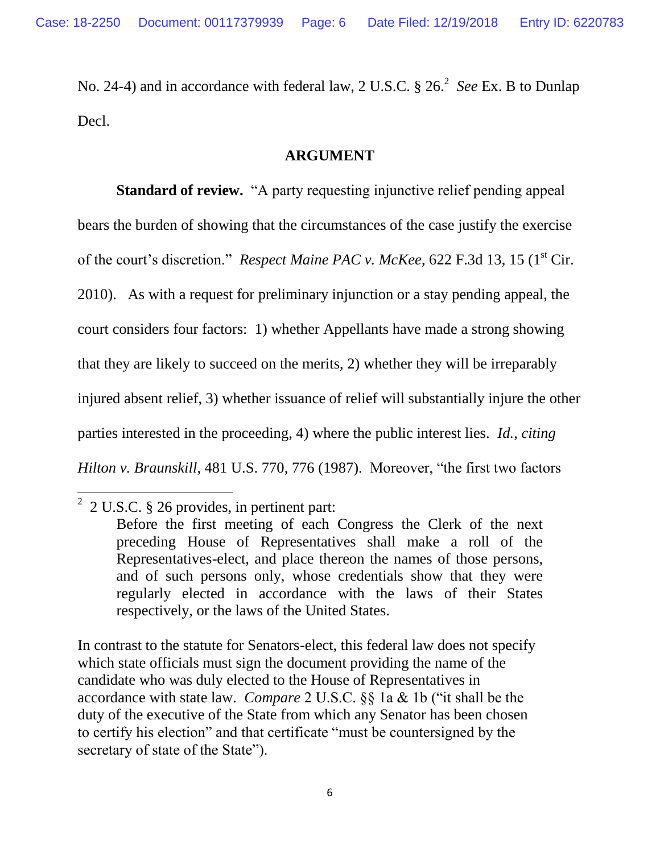No. 24-4) and in accordance with federal law, 2 U.S.C. § 26.<sup>2</sup> See Ex. B to Dunlap Decl.

#### **ARGUMENT**

**Standard of review.** "A party requesting injunctive relief pending appeal bears the burden of showing that the circumstances of the case justify the exercise of the court's discretion." *Respect Maine PAC v. McKee*, 622 F.3d 13, 15 (1<sup>st</sup> Cir. 2010). As with a request for preliminary injunction or a stay pending appeal, the court considers four factors: 1) whether Appellants have made a strong showing that they are likely to succeed on the merits, 2) whether they will be irreparably injured absent relief, 3) whether issuance of relief will substantially injure the other parties interested in the proceeding, 4) where the public interest lies. *Id., citing Hilton v. Braunskill*, 481 U.S. 770, 776 (1987). Moreover, "the first two factors

 $\overline{\phantom{a}}$ 

In contrast to the statute for Senators-elect, this federal law does not specify which state officials must sign the document providing the name of the candidate who was duly elected to the House of Representatives in accordance with state law. *Compare* 2 U.S.C. §§ 1a & 1b ("it shall be the duty of the executive of the State from which any Senator has been chosen to certify his election" and that certificate "must be countersigned by the secretary of state of the State").

 $2$  2 U.S.C. § 26 provides, in pertinent part:

Before the first meeting of each Congress the Clerk of the next preceding House of Representatives shall make a roll of the Representatives-elect, and place thereon the names of those persons, and of such persons only, whose credentials show that they were regularly elected in accordance with the laws of their States respectively, or the laws of the United States.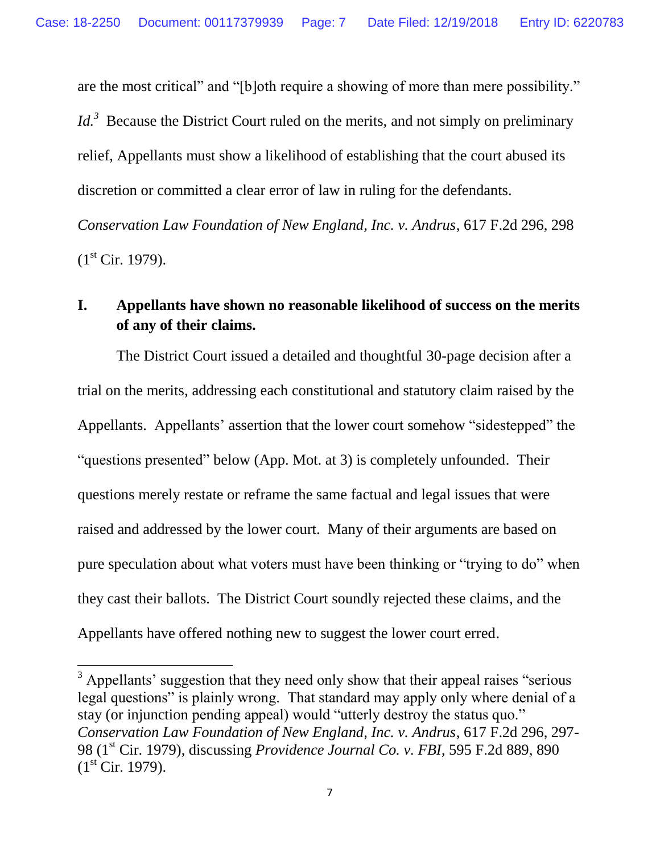are the most critical" and "[b]oth require a showing of more than mere possibility." *Id.*<sup>3</sup> Because the District Court ruled on the merits, and not simply on preliminary relief, Appellants must show a likelihood of establishing that the court abused its discretion or committed a clear error of law in ruling for the defendants.

*Conservation Law Foundation of New England, Inc. v. Andrus*, 617 F.2d 296, 298  $(1<sup>st</sup> Cir. 1979).$ 

# **I. Appellants have shown no reasonable likelihood of success on the merits of any of their claims.**

The District Court issued a detailed and thoughtful 30-page decision after a trial on the merits, addressing each constitutional and statutory claim raised by the Appellants. Appellants' assertion that the lower court somehow "sidestepped" the "questions presented" below (App. Mot. at 3) is completely unfounded. Their questions merely restate or reframe the same factual and legal issues that were raised and addressed by the lower court. Many of their arguments are based on pure speculation about what voters must have been thinking or "trying to do" when they cast their ballots. The District Court soundly rejected these claims, and the Appellants have offered nothing new to suggest the lower court erred.

<sup>&</sup>lt;sup>3</sup> Appellants' suggestion that they need only show that their appeal raises "serious" legal questions" is plainly wrong. That standard may apply only where denial of a stay (or injunction pending appeal) would "utterly destroy the status quo." *Conservation Law Foundation of New England, Inc. v. Andrus*, 617 F.2d 296, 297- 98 (1st Cir. 1979), discussing *Providence Journal Co. v. FBI*, 595 F.2d 889, 890  $(1<sup>st</sup> Cir. 1979).$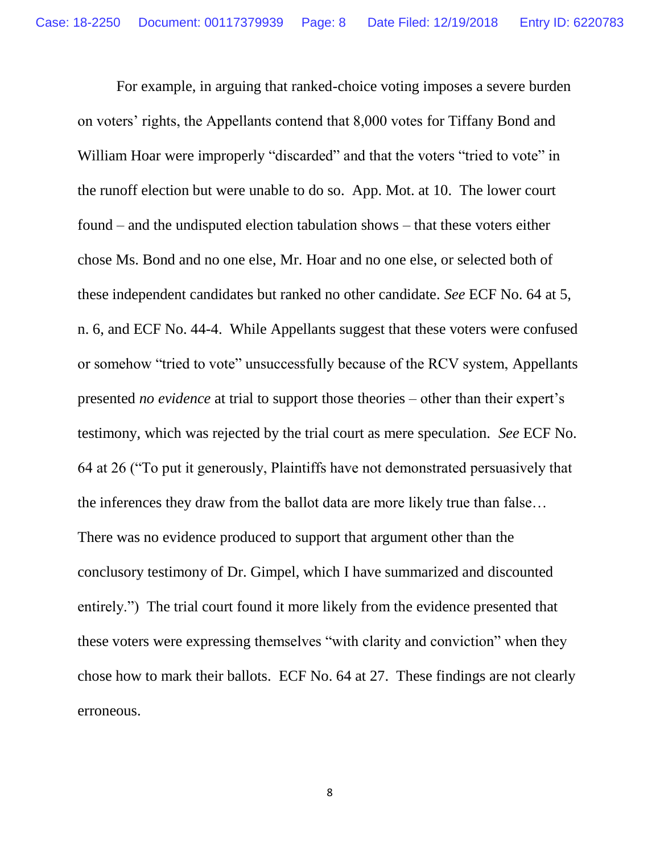For example, in arguing that ranked-choice voting imposes a severe burden on voters' rights, the Appellants contend that 8,000 votes for Tiffany Bond and William Hoar were improperly "discarded" and that the voters "tried to vote" in the runoff election but were unable to do so. App. Mot. at 10. The lower court found – and the undisputed election tabulation shows – that these voters either chose Ms. Bond and no one else, Mr. Hoar and no one else, or selected both of these independent candidates but ranked no other candidate. *See* ECF No. 64 at 5, n. 6, and ECF No. 44-4. While Appellants suggest that these voters were confused or somehow "tried to vote" unsuccessfully because of the RCV system, Appellants presented *no evidence* at trial to support those theories – other than their expert's testimony, which was rejected by the trial court as mere speculation. *See* ECF No. 64 at 26 ("To put it generously, Plaintiffs have not demonstrated persuasively that the inferences they draw from the ballot data are more likely true than false… There was no evidence produced to support that argument other than the conclusory testimony of Dr. Gimpel, which I have summarized and discounted entirely.") The trial court found it more likely from the evidence presented that these voters were expressing themselves "with clarity and conviction" when they chose how to mark their ballots. ECF No. 64 at 27. These findings are not clearly erroneous.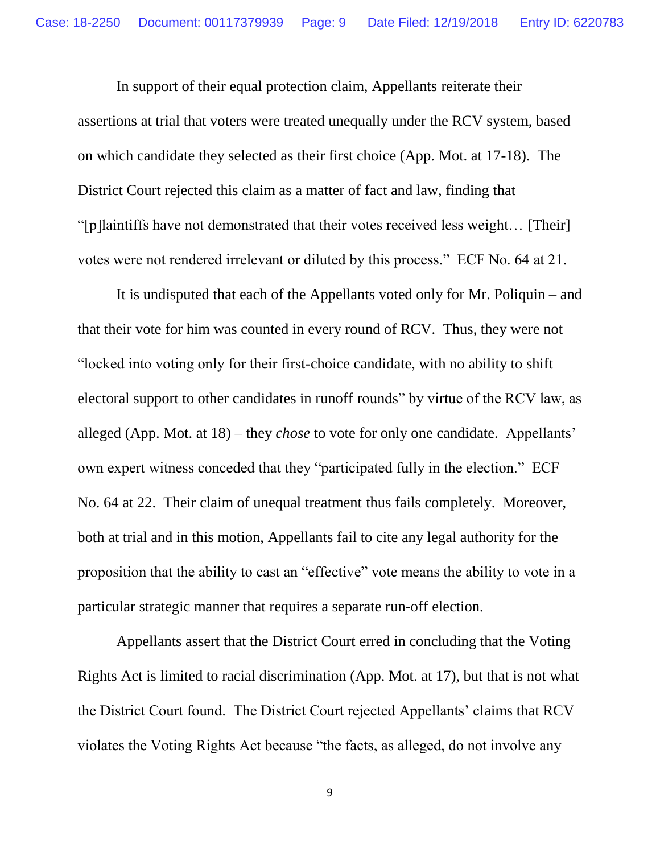In support of their equal protection claim, Appellants reiterate their assertions at trial that voters were treated unequally under the RCV system, based on which candidate they selected as their first choice (App. Mot. at 17-18). The District Court rejected this claim as a matter of fact and law, finding that "[p]laintiffs have not demonstrated that their votes received less weight… [Their] votes were not rendered irrelevant or diluted by this process." ECF No. 64 at 21.

It is undisputed that each of the Appellants voted only for Mr. Poliquin – and that their vote for him was counted in every round of RCV. Thus, they were not "locked into voting only for their first-choice candidate, with no ability to shift electoral support to other candidates in runoff rounds" by virtue of the RCV law, as alleged (App. Mot. at 18) – they *chose* to vote for only one candidate. Appellants' own expert witness conceded that they "participated fully in the election." ECF No. 64 at 22. Their claim of unequal treatment thus fails completely. Moreover, both at trial and in this motion, Appellants fail to cite any legal authority for the proposition that the ability to cast an "effective" vote means the ability to vote in a particular strategic manner that requires a separate run-off election.

Appellants assert that the District Court erred in concluding that the Voting Rights Act is limited to racial discrimination (App. Mot. at 17), but that is not what the District Court found. The District Court rejected Appellants' claims that RCV violates the Voting Rights Act because "the facts, as alleged, do not involve any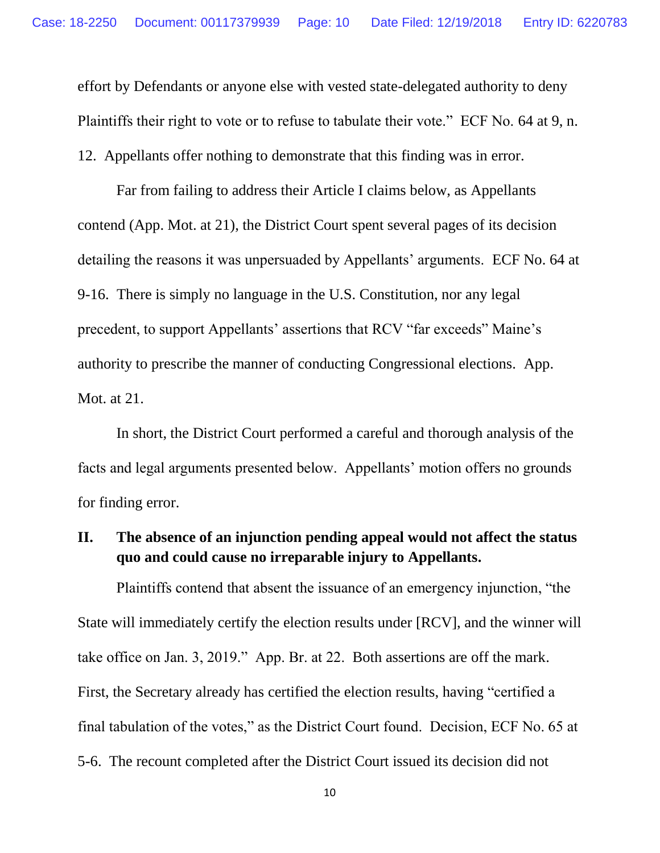effort by Defendants or anyone else with vested state-delegated authority to deny Plaintiffs their right to vote or to refuse to tabulate their vote." ECF No. 64 at 9, n.

12. Appellants offer nothing to demonstrate that this finding was in error.

Far from failing to address their Article I claims below, as Appellants contend (App. Mot. at 21), the District Court spent several pages of its decision detailing the reasons it was unpersuaded by Appellants' arguments. ECF No. 64 at 9-16. There is simply no language in the U.S. Constitution, nor any legal precedent, to support Appellants' assertions that RCV "far exceeds" Maine's authority to prescribe the manner of conducting Congressional elections. App. Mot. at 21.

In short, the District Court performed a careful and thorough analysis of the facts and legal arguments presented below. Appellants' motion offers no grounds for finding error.

# **II. The absence of an injunction pending appeal would not affect the status quo and could cause no irreparable injury to Appellants.**

Plaintiffs contend that absent the issuance of an emergency injunction, "the State will immediately certify the election results under [RCV], and the winner will take office on Jan. 3, 2019." App. Br. at 22. Both assertions are off the mark. First, the Secretary already has certified the election results, having "certified a final tabulation of the votes," as the District Court found. Decision, ECF No. 65 at 5-6. The recount completed after the District Court issued its decision did not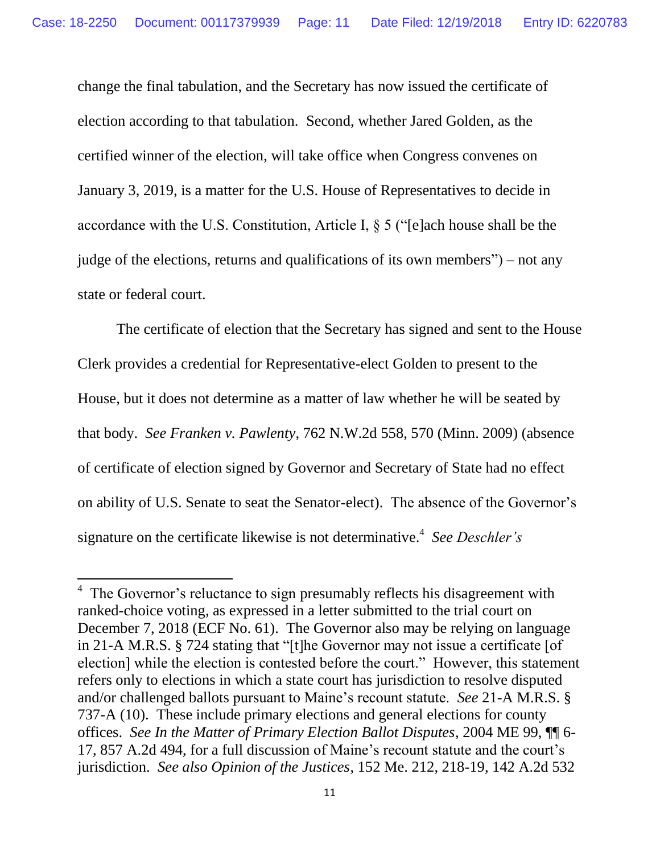change the final tabulation, and the Secretary has now issued the certificate of election according to that tabulation. Second, whether Jared Golden, as the certified winner of the election, will take office when Congress convenes on January 3, 2019, is a matter for the U.S. House of Representatives to decide in accordance with the U.S. Constitution, Article I, § 5 ("[e]ach house shall be the judge of the elections, returns and qualifications of its own members") – not any state or federal court.

The certificate of election that the Secretary has signed and sent to the House Clerk provides a credential for Representative-elect Golden to present to the House, but it does not determine as a matter of law whether he will be seated by that body. *See Franken v. Pawlenty*, 762 N.W.2d 558, 570 (Minn. 2009) (absence of certificate of election signed by Governor and Secretary of State had no effect on ability of U.S. Senate to seat the Senator-elect). The absence of the Governor's signature on the certificate likewise is not determinative.<sup>4</sup> *See Deschler's* 

<sup>&</sup>lt;sup>4</sup> The Governor's reluctance to sign presumably reflects his disagreement with ranked-choice voting, as expressed in a letter submitted to the trial court on December 7, 2018 (ECF No. 61). The Governor also may be relying on language in 21-A M.R.S. § 724 stating that "[t]he Governor may not issue a certificate [of election] while the election is contested before the court." However, this statement refers only to elections in which a state court has jurisdiction to resolve disputed and/or challenged ballots pursuant to Maine's recount statute. *See* 21-A M.R.S. § 737-A (10). These include primary elections and general elections for county offices. *See In the Matter of Primary Election Ballot Disputes*, 2004 ME 99, ¶¶ 6- 17, 857 A.2d 494, for a full discussion of Maine's recount statute and the court's jurisdiction. *See also Opinion of the Justices*, 152 Me. 212, 218-19, 142 A.2d 532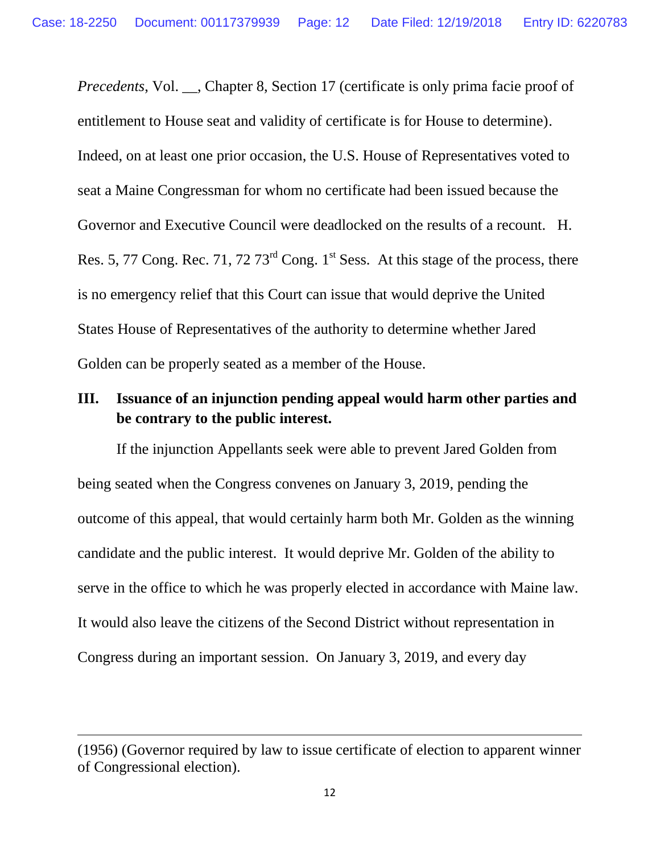*Precedents*, Vol. \_\_, Chapter 8, Section 17 (certificate is only prima facie proof of entitlement to House seat and validity of certificate is for House to determine). Indeed, on at least one prior occasion, the U.S. House of Representatives voted to seat a Maine Congressman for whom no certificate had been issued because the Governor and Executive Council were deadlocked on the results of a recount. H. Res. 5, 77 Cong. Rec. 71, 72 73<sup>rd</sup> Cong. 1<sup>st</sup> Sess. At this stage of the process, there is no emergency relief that this Court can issue that would deprive the United States House of Representatives of the authority to determine whether Jared Golden can be properly seated as a member of the House.

# **III. Issuance of an injunction pending appeal would harm other parties and be contrary to the public interest.**

If the injunction Appellants seek were able to prevent Jared Golden from being seated when the Congress convenes on January 3, 2019, pending the outcome of this appeal, that would certainly harm both Mr. Golden as the winning candidate and the public interest. It would deprive Mr. Golden of the ability to serve in the office to which he was properly elected in accordance with Maine law. It would also leave the citizens of the Second District without representation in Congress during an important session. On January 3, 2019, and every day

<sup>(1956) (</sup>Governor required by law to issue certificate of election to apparent winner of Congressional election).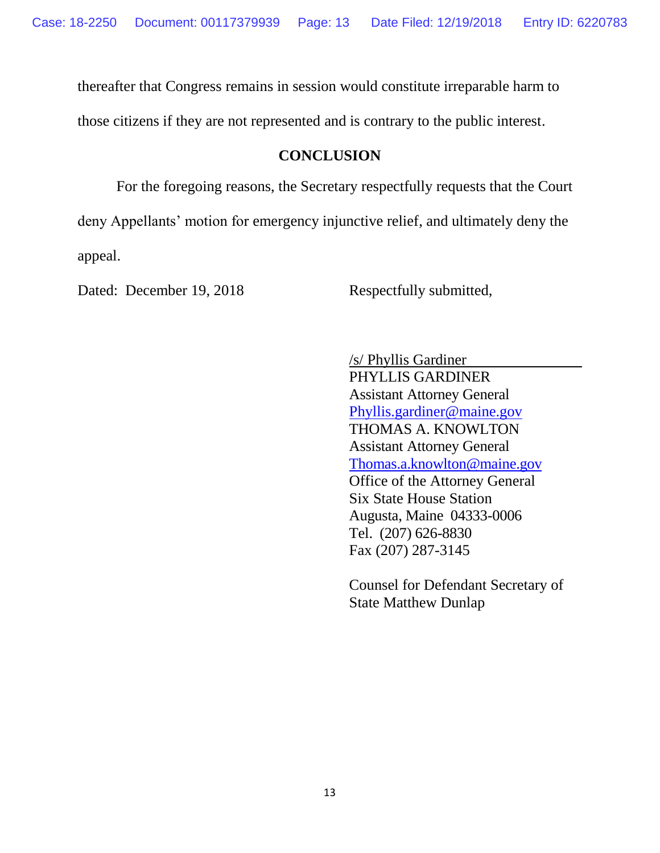thereafter that Congress remains in session would constitute irreparable harm to

those citizens if they are not represented and is contrary to the public interest.

# **CONCLUSION**

For the foregoing reasons, the Secretary respectfully requests that the Court deny Appellants' motion for emergency injunctive relief, and ultimately deny the appeal.

Dated: December 19, 2018 Respectfully submitted,

/s/ Phyllis Gardiner PHYLLIS GARDINER Assistant Attorney General [Phyllis.gardiner@maine.gov](mailto:Phyllis.gardiner@maine.gov) THOMAS A. KNOWLTON Assistant Attorney General [Thomas.a.knowlton@maine.gov](mailto:Thomas.a.knowlton@maine.gov) Office of the Attorney General Six State House Station Augusta, Maine 04333-0006 Tel. (207) 626-8830 Fax (207) 287-3145

Counsel for Defendant Secretary of State Matthew Dunlap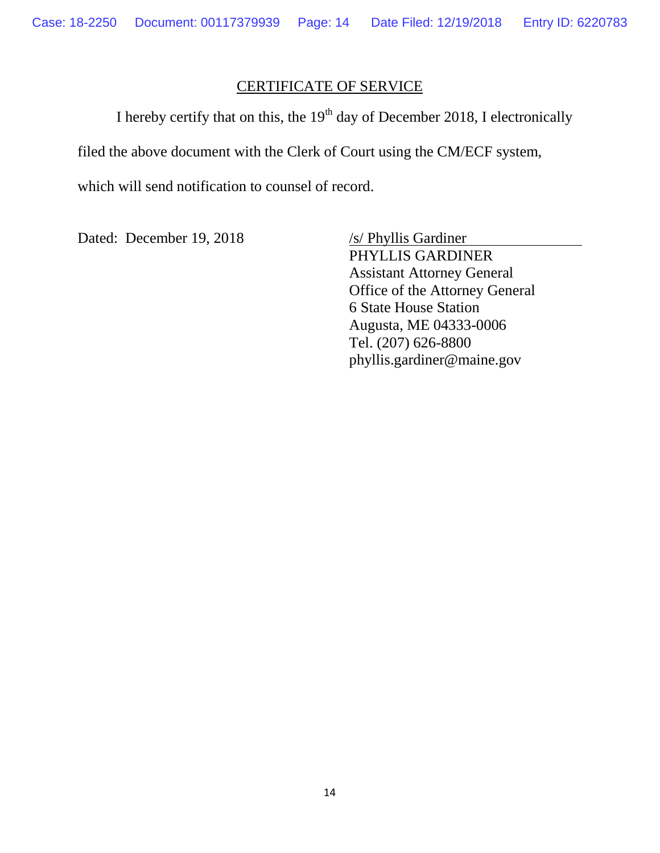#### CERTIFICATE OF SERVICE

I hereby certify that on this, the  $19<sup>th</sup>$  day of December 2018, I electronically filed the above document with the Clerk of Court using the CM/ECF system, which will send notification to counsel of record.

Dated: December 19, 2018 /s/ Phyllis Gardiner

PHYLLIS GARDINER Assistant Attorney General Office of the Attorney General 6 State House Station Augusta, ME 04333-0006 Tel. (207) 626-8800 phyllis.gardiner@maine.gov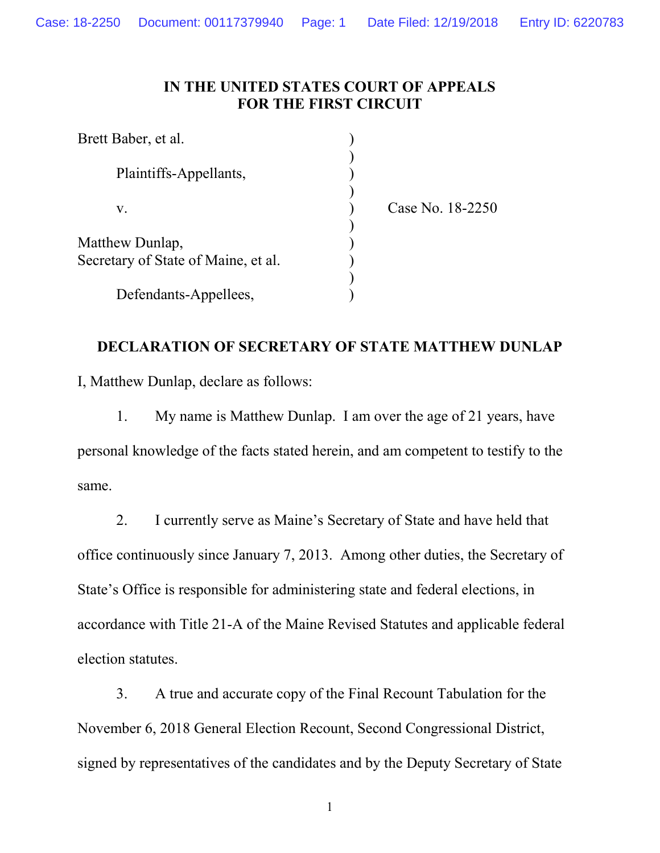## **IN THE UNITED STATES COURT OF APPEALS FOR THE FIRST CIRCUIT**

| Brett Baber, et al.                 |                  |  |
|-------------------------------------|------------------|--|
| Plaintiffs-Appellants,              |                  |  |
| V.                                  | Case No. 18-2250 |  |
| Matthew Dunlap,                     |                  |  |
| Secretary of State of Maine, et al. |                  |  |
| Defendants-Appellees,               |                  |  |

# **DECLARATION OF SECRETARY OF STATE MATTHEW DUNLAP**

I, Matthew Dunlap, declare as follows:

1. My name is Matthew Dunlap. I am over the age of 21 years, have personal knowledge of the facts stated herein, and am competent to testify to the same.

2. I currently serve as Maine's Secretary of State and have held that office continuously since January 7, 2013. Among other duties, the Secretary of State's Office is responsible for administering state and federal elections, in accordance with Title 21-A of the Maine Revised Statutes and applicable federal election statutes.

3. A true and accurate copy of the Final Recount Tabulation for the November 6, 2018 General Election Recount, Second Congressional District, signed by representatives of the candidates and by the Deputy Secretary of State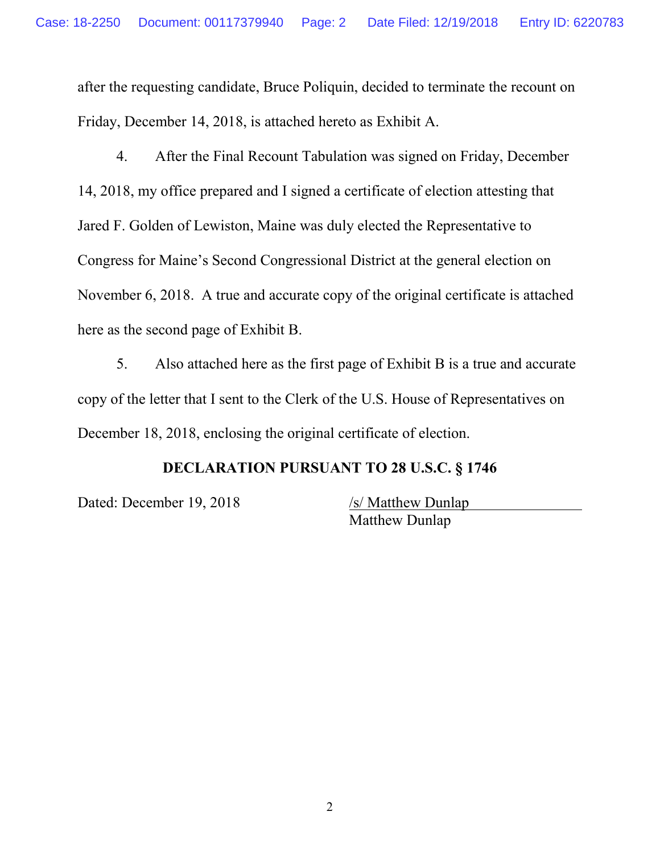after the requesting candidate, Bruce Poliquin, decided to terminate the recount on Friday, December 14, 2018, is attached hereto as Exhibit A.

4. After the Final Recount Tabulation was signed on Friday, December 14, 2018, my office prepared and I signed a certificate of election attesting that Jared F. Golden of Lewiston, Maine was duly elected the Representative to Congress for Maine's Second Congressional District at the general election on November 6, 2018. A true and accurate copy of the original certificate is attached here as the second page of Exhibit B.

5. Also attached here as the first page of Exhibit B is a true and accurate copy of the letter that I sent to the Clerk of the U.S. House of Representatives on December 18, 2018, enclosing the original certificate of election.

## **DECLARATION PURSUANT TO 28 U.S.C. § 1746**

Dated: December 19, 2018 /s/ Matthew Dunlap

Matthew Dunlap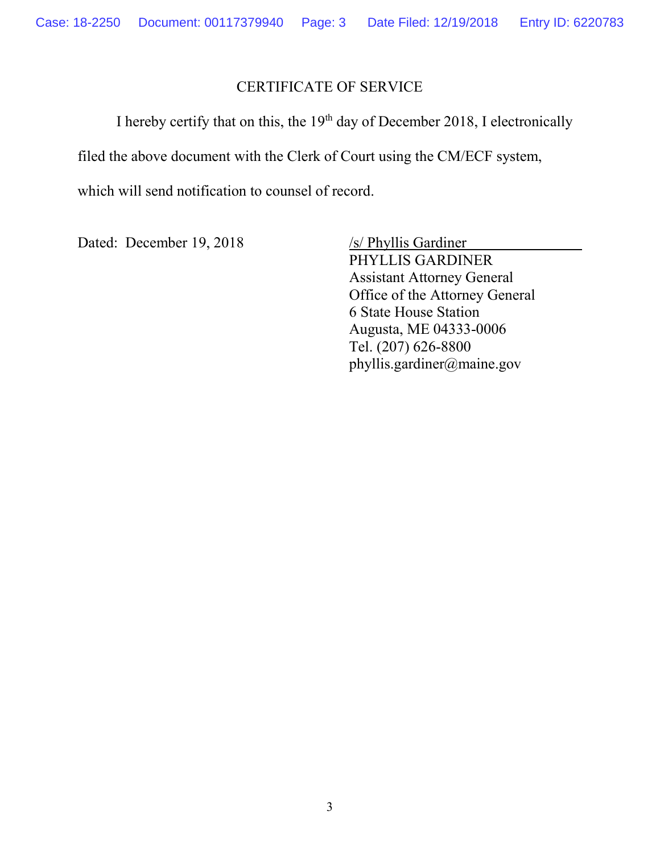## CERTIFICATE OF SERVICE

I hereby certify that on this, the  $19<sup>th</sup>$  day of December 2018, I electronically filed the above document with the Clerk of Court using the CM/ECF system, which will send notification to counsel of record.

Dated: December 19, 2018 /s/ Phyllis Gardiner

PHYLLIS GARDINER Assistant Attorney General Office of the Attorney General 6 State House Station Augusta, ME 04333-0006 Tel. (207) 626-8800 phyllis.gardiner@maine.gov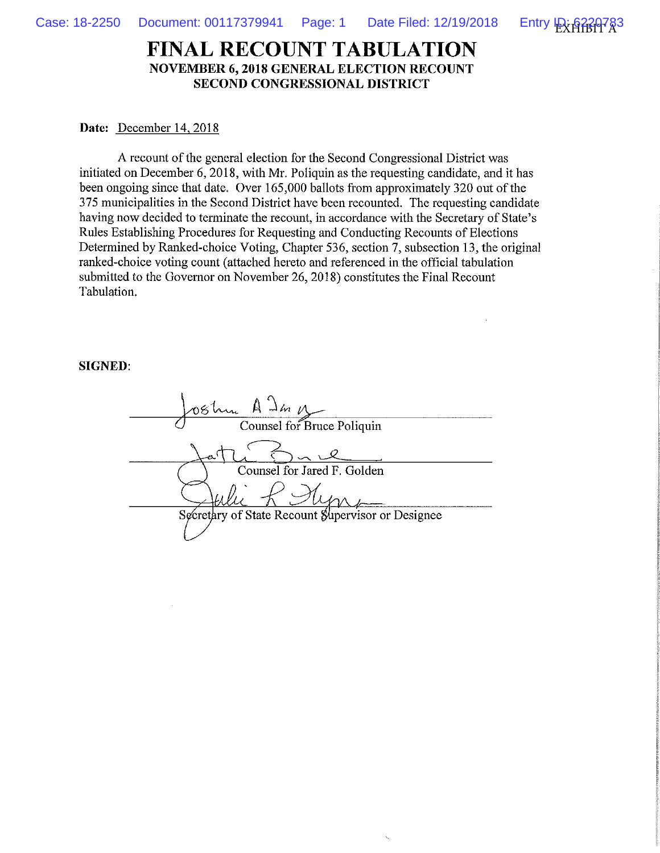

## **FINAL RECOUNT TABULATION NOVEMBER 6, 2018 GENERAL ELECTION RECOUNT** SECOND CONGRESSIONAL DISTRICT

#### Date: December 14, 2018

A recount of the general election for the Second Congressional District was initiated on December 6, 2018, with Mr. Poliquin as the requesting candidate, and it has been ongoing since that date. Over 165,000 ballots from approximately 320 out of the 375 municipalities in the Second District have been recounted. The requesting candidate having now decided to terminate the recount, in accordance with the Secretary of State's Rules Establishing Procedures for Requesting and Conducting Recounts of Elections Determined by Ranked-choice Voting, Chapter 536, section 7, subsection 13, the original ranked-choice voting count (attached hereto and referenced in the official tabulation submitted to the Governor on November 26, 2018) constitutes the Final Recount Tabulation.

#### **SIGNED:**

| ostru A Jan M                                     |
|---------------------------------------------------|
| Counsel for Bruce Poliquin                        |
|                                                   |
| Counsel for Jared F. Golden                       |
|                                                   |
| Secretary of State Recount Supervisor or Designee |
|                                                   |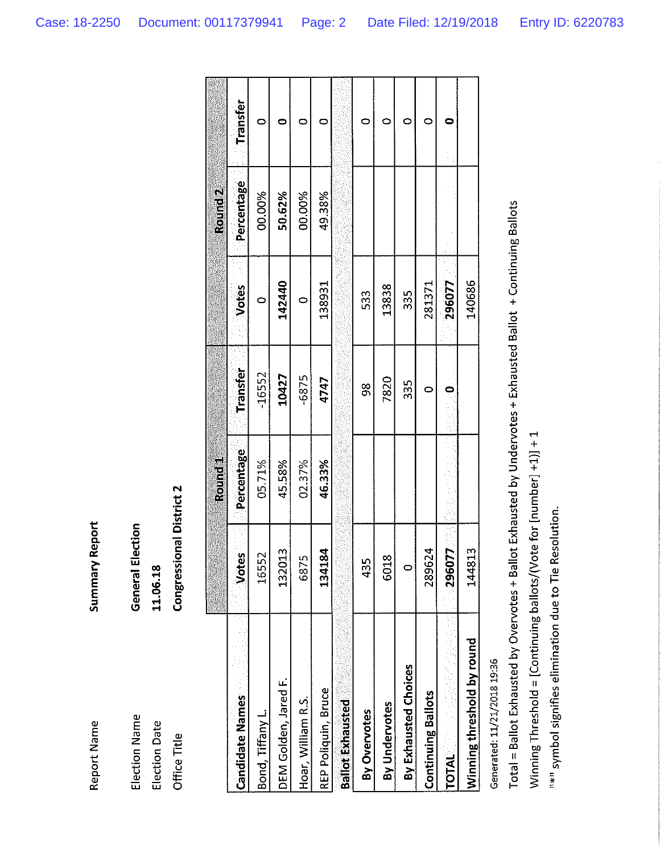| Summary Report | General Election |
|----------------|------------------|
| Report Name    | Election Name    |

| $\breve{\vec{u}}$<br>cnera | ٦<br>ý<br>i<br>۲<br>٠ |
|----------------------------|-----------------------|
|                            |                       |

**Election Date** Office Title

# **Congressional District 2**

|                            |                       | <b>Eburd</b><br>Round |               |              | Round <sub>2</sub> |                 |
|----------------------------|-----------------------|-----------------------|---------------|--------------|--------------------|-----------------|
| <b>Candidate Names</b>     | <b>Votes</b>          | Percentage            | Transfer      | <b>Votes</b> | Percentage         | <b>Transfer</b> |
| Bond, Tiffany L.           | 16552                 | 05.71%                | -16552        |              | 00.00%             | c               |
| DEM Golden, Jared F.       | $\frac{3}{2}$<br>1320 | 45.58%                | 10427         | 142440       | 50.62%             |                 |
| Hoar, William R.S.         | 6875                  | 02.37%                | $-6875$       | c            | 00.00%             |                 |
| REP Poliquin, Bruce        | 184<br>1341           | 46.33%                | 4747          | 138931       | 49.38%             |                 |
| <b>Ballot Exhausted</b>    |                       |                       |               |              |                    |                 |
| By Overvotes               | 435                   |                       | $\frac{8}{3}$ | 533          |                    |                 |
| By Undervotes              | 6018                  |                       | 7820          | 13838        |                    |                 |
| By Exhausted Choices       | $\circ$               |                       | 335           | 35           |                    |                 |
| <b>Continuing Ballots</b>  | 289624                |                       | c             | 281371       |                    |                 |
| 计多式<br><b>TOTAL</b>        | 077<br><b>2960</b>    |                       |               | 296077       |                    |                 |
| Winning threshold by round | 144813                |                       |               | 140686       |                    |                 |

Generated: 11/21/2018 19:36

Total = Ballot Exhausted by Overvotes + Ballot Exhausted by Undervotes + Exhausted Ballot + Continuing Ballots Winning Threshold = [Continuing ballots/(Vote for [number] +1)] + 1

"\*" symbol signifies elimination due to Tie Resolution.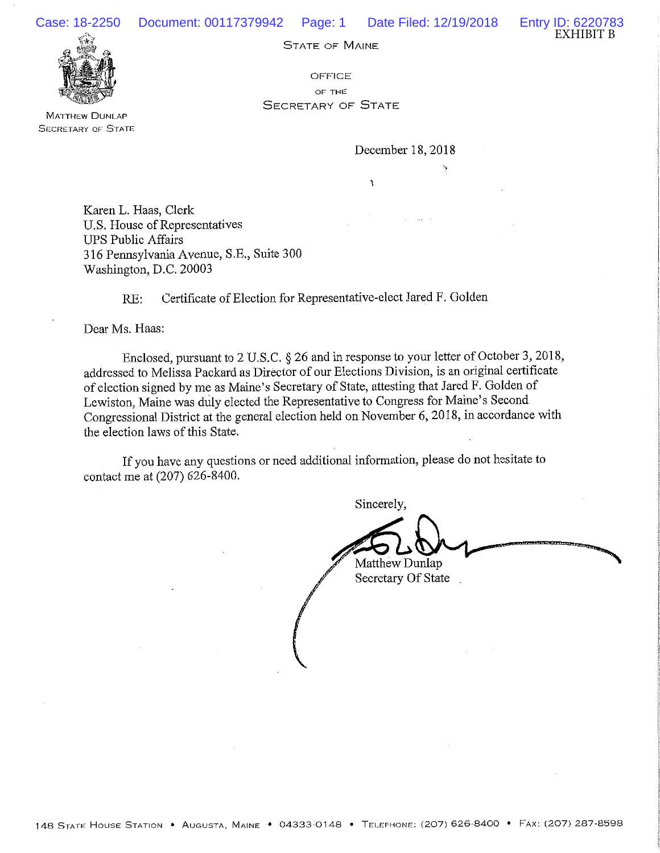



**MATTHEW DUNLAP SECRETARY OF STATE** 

OFFICE OF THE **SECRETARY OF STATE** 

December 18, 2018

Karen L. Haas, Clerk U.S. House of Representatives **UPS Public Affairs** 316 Pennsylvania Avenue, S.E., Suite 300 Washington, D.C. 20003

> Certificate of Election for Representative-elect Jared F. Golden  $RE:$

Dear Ms. Haas:

Enclosed, pursuant to 2 U.S.C. § 26 and in response to your letter of October 3, 2018, addressed to Melissa Packard as Director of our Elections Division, is an original certificate of election signed by me as Maine's Secretary of State, attesting that Jared F. Golden of Lewiston, Maine was duly elected the Representative to Congress for Maine's Second Congressional District at the general election held on November 6, 2018, in accordance with the election laws of this State.

If you have any questions or need additional information, please do not hesitate to contact me at (207) 626-8400.

Sincerely, Matthew Dunlap Secretary Of State